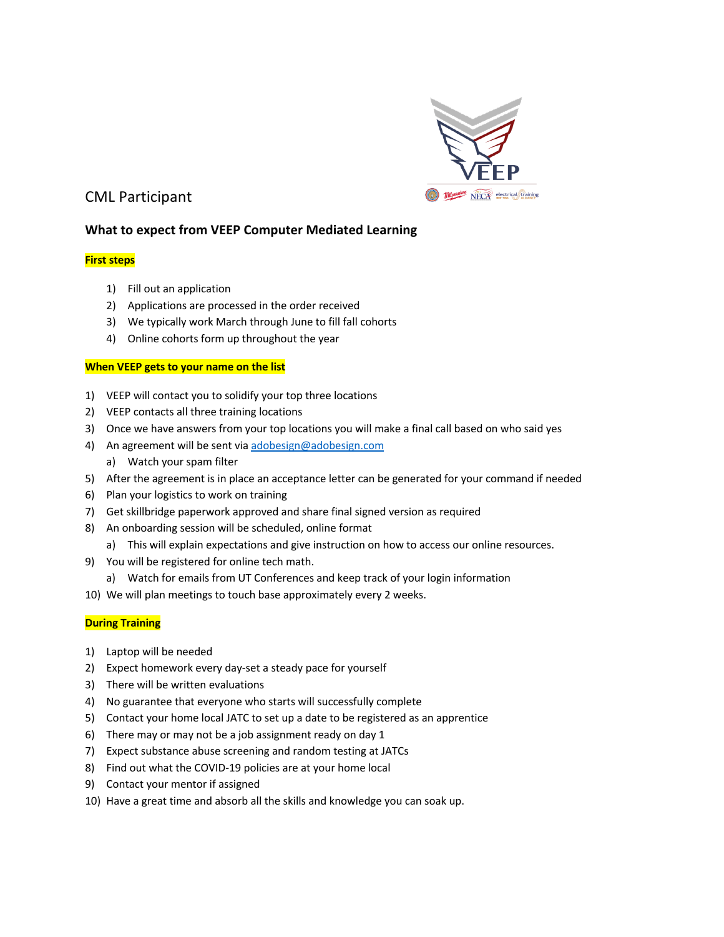

# CML Participant

## **What to expect from VEEP Computer Mediated Learning**

### **First steps**

- 1) Fill out an application
- 2) Applications are processed in the order received
- 3) We typically work March through June to fill fall cohorts
- 4) Online cohorts form up throughout the year

#### **When VEEP gets to your name on the list**

- 1) VEEP will contact you to solidify your top three locations
- 2) VEEP contacts all three training locations
- 3) Once we have answers from your top locations you will make a final call based on who said yes
- 4) An agreement will be sent via adobesign@adobesign.com
	- a) Watch your spam filter
- 5) After the agreement is in place an acceptance letter can be generated for your command if needed
- 6) Plan your logistics to work on training
- 7) Get skillbridge paperwork approved and share final signed version as required
- 8) An onboarding session will be scheduled, online format
- a) This will explain expectations and give instruction on how to access our online resources.
- 9) You will be registered for online tech math.
	- a) Watch for emails from UT Conferences and keep track of your login information
- 10) We will plan meetings to touch base approximately every 2 weeks.

#### **During Training**

- 1) Laptop will be needed
- 2) Expect homework every day-set a steady pace for yourself
- 3) There will be written evaluations
- 4) No guarantee that everyone who starts will successfully complete
- 5) Contact your home local JATC to set up a date to be registered as an apprentice
- 6) There may or may not be a job assignment ready on day 1
- 7) Expect substance abuse screening and random testing at JATCs
- 8) Find out what the COVID-19 policies are at your home local
- 9) Contact your mentor if assigned
- 10) Have a great time and absorb all the skills and knowledge you can soak up.